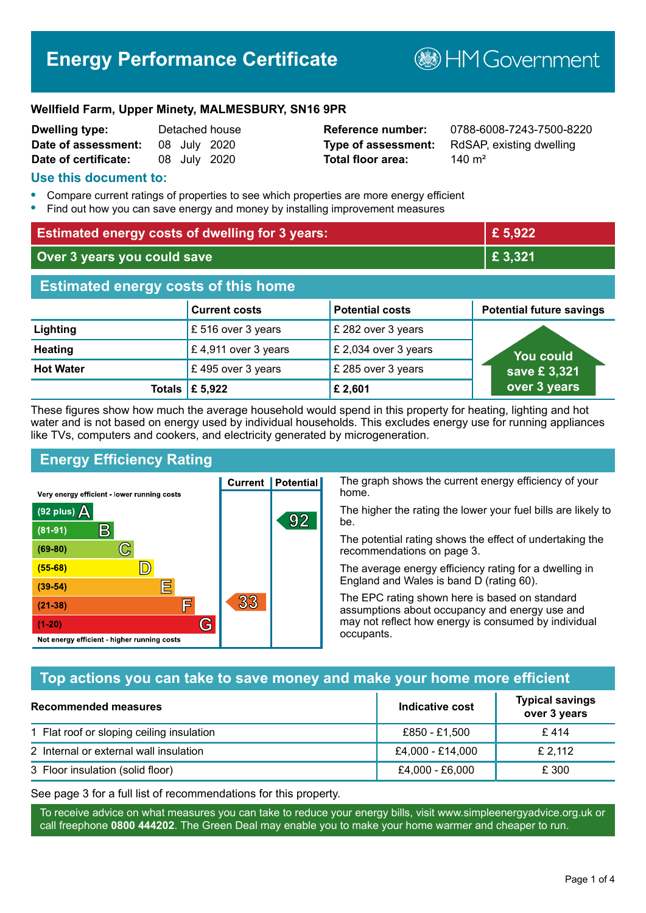# **Energy Performance Certificate**

**B**HM Government

#### **Wellfield Farm, Upper Minety, MALMESBURY, SN16 9PR**

| <b>Dwelling type:</b> |  | Detached house |
|-----------------------|--|----------------|
| Date of assessment:   |  | 08 July 2020   |
| Date of certificate:  |  | 08 July 2020   |

# **Total floor area:** 140 m<sup>2</sup>

**Reference number:** 0788-6008-7243-7500-8220 **Type of assessment:** RdSAP, existing dwelling

#### **Use this document to:**

- **•** Compare current ratings of properties to see which properties are more energy efficient
- **•** Find out how you can save energy and money by installing improvement measures

| <b>Estimated energy costs of dwelling for 3 years:</b> |                           | £ 5,922                |                                 |
|--------------------------------------------------------|---------------------------|------------------------|---------------------------------|
| Over 3 years you could save                            |                           | £ 3,321                |                                 |
| <b>Estimated energy costs of this home</b>             |                           |                        |                                 |
|                                                        | <b>Current costs</b>      | <b>Potential costs</b> | <b>Potential future savings</b> |
| Lighting                                               | £ 516 over 3 years        | £ 282 over 3 years     |                                 |
| <b>Heating</b>                                         | £4,911 over 3 years       | £ 2,034 over 3 years   | You could                       |
| <b>Hot Water</b>                                       | £495 over 3 years         | £ 285 over 3 years     | save £3,321                     |
|                                                        | Totals $\mathsf{E}$ 5,922 | £2,601                 | over 3 years                    |

These figures show how much the average household would spend in this property for heating, lighting and hot water and is not based on energy used by individual households. This excludes energy use for running appliances like TVs, computers and cookers, and electricity generated by microgeneration.

**Current | Potential** 

33

92

# **Energy Efficiency Rating**

C

 $\mathbb{D}$ 

E

眉

G

Very energy efficient - lower running costs

R

Not energy efficient - higher running costs

(92 plus)  $\Delta$ 

 $(81 - 91)$ 

 $(69 - 80)$ 

 $(55-68)$ 

 $(39 - 54)$ 

 $(21-38)$ 

 $(1-20)$ 

The graph shows the current energy efficiency of your home.

The higher the rating the lower your fuel bills are likely to be.

The potential rating shows the effect of undertaking the recommendations on page 3.

The average energy efficiency rating for a dwelling in England and Wales is band D (rating 60).

The EPC rating shown here is based on standard assumptions about occupancy and energy use and may not reflect how energy is consumed by individual occupants.

# **Top actions you can take to save money and make your home more efficient**

| Recommended measures                      | Indicative cost  | <b>Typical savings</b><br>over 3 years |
|-------------------------------------------|------------------|----------------------------------------|
| 1 Flat roof or sloping ceiling insulation | £850 - £1,500    | £414                                   |
| 2 Internal or external wall insulation    | £4,000 - £14,000 | £ 2,112                                |
| 3 Floor insulation (solid floor)          | £4,000 - £6,000  | £ 300                                  |

See page 3 for a full list of recommendations for this property.

To receive advice on what measures you can take to reduce your energy bills, visit www.simpleenergyadvice.org.uk or call freephone **0800 444202**. The Green Deal may enable you to make your home warmer and cheaper to run.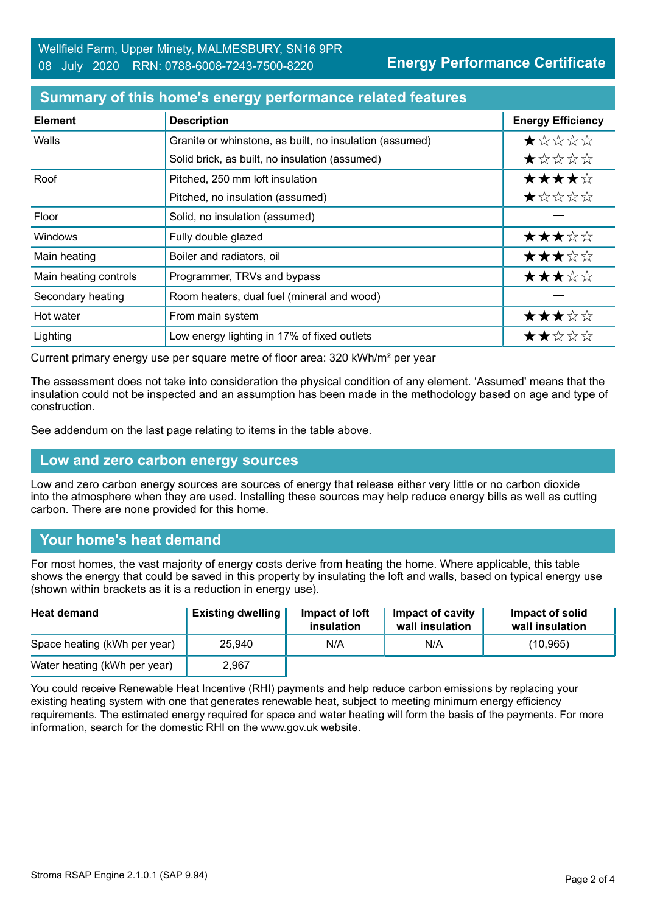**Energy Performance Certificate**

#### **Summary of this home's energy performance related features**

| <b>Element</b>        | <b>Description</b>                                      | <b>Energy Efficiency</b> |
|-----------------------|---------------------------------------------------------|--------------------------|
| Walls                 | Granite or whinstone, as built, no insulation (assumed) | *****                    |
|                       | Solid brick, as built, no insulation (assumed)          | ★☆☆☆☆                    |
| Roof                  | Pitched, 250 mm loft insulation                         | ★★★★☆                    |
|                       | Pitched, no insulation (assumed)                        | ★☆☆☆☆                    |
| Floor                 | Solid, no insulation (assumed)                          |                          |
| <b>Windows</b>        | Fully double glazed                                     | ★★★☆☆                    |
| Main heating          | Boiler and radiators, oil                               | ★★★☆☆                    |
| Main heating controls | Programmer, TRVs and bypass                             | ★★★☆☆                    |
| Secondary heating     | Room heaters, dual fuel (mineral and wood)              |                          |
| Hot water             | From main system                                        | ★★★☆☆                    |
| Lighting              | Low energy lighting in 17% of fixed outlets             | ★★☆☆☆                    |

Current primary energy use per square metre of floor area: 320 kWh/m² per year

The assessment does not take into consideration the physical condition of any element. 'Assumed' means that the insulation could not be inspected and an assumption has been made in the methodology based on age and type of construction.

See addendum on the last page relating to items in the table above.

#### **Low and zero carbon energy sources**

Low and zero carbon energy sources are sources of energy that release either very little or no carbon dioxide into the atmosphere when they are used. Installing these sources may help reduce energy bills as well as cutting carbon. There are none provided for this home.

# **Your home's heat demand**

For most homes, the vast majority of energy costs derive from heating the home. Where applicable, this table shows the energy that could be saved in this property by insulating the loft and walls, based on typical energy use (shown within brackets as it is a reduction in energy use).

| <b>Heat demand</b>           | <b>Existing dwelling</b> | Impact of loft<br>insulation | Impact of cavity<br>wall insulation | Impact of solid<br>wall insulation |
|------------------------------|--------------------------|------------------------------|-------------------------------------|------------------------------------|
| Space heating (kWh per year) | 25.940                   | N/A                          | N/A                                 | (10,965)                           |
| Water heating (kWh per year) | 2,967                    |                              |                                     |                                    |

You could receive Renewable Heat Incentive (RHI) payments and help reduce carbon emissions by replacing your existing heating system with one that generates renewable heat, subject to meeting minimum energy efficiency requirements. The estimated energy required for space and water heating will form the basis of the payments. For more information, search for the domestic RHI on the www.gov.uk website.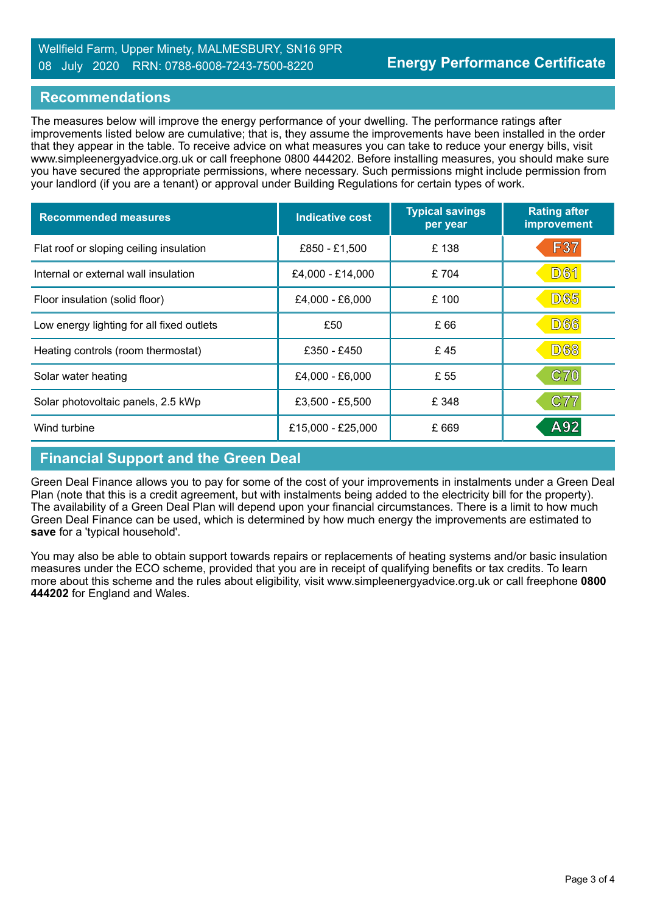#### Wellfield Farm, Upper Minety, MALMESBURY, SN16 9PR 08 July 2020 RRN: 0788-6008-7243-7500-8220

#### **Recommendations**

The measures below will improve the energy performance of your dwelling. The performance ratings after improvements listed below are cumulative; that is, they assume the improvements have been installed in the order that they appear in the table. To receive advice on what measures you can take to reduce your energy bills, visit www.simpleenergyadvice.org.uk or call freephone 0800 444202. Before installing measures, you should make sure you have secured the appropriate permissions, where necessary. Such permissions might include permission from your landlord (if you are a tenant) or approval under Building Regulations for certain types of work.

| <b>Recommended measures</b>               | <b>Indicative cost</b> | <b>Typical savings</b><br>per year | <b>Rating after</b><br>improvement |
|-------------------------------------------|------------------------|------------------------------------|------------------------------------|
| Flat roof or sloping ceiling insulation   | £850 - £1,500          | £138                               | <b>F37</b>                         |
| Internal or external wall insulation      | £4,000 - £14,000       | £704                               | <b>D61</b>                         |
| Floor insulation (solid floor)            | £4,000 - £6,000        | £100                               | <b>D65</b>                         |
| Low energy lighting for all fixed outlets | £50                    | £ 66                               | <b>D66</b>                         |
| Heating controls (room thermostat)        | £350 - £450            | £45                                | <b>D68</b>                         |
| Solar water heating                       | £4,000 - £6,000        | £ 55                               | C70                                |
| Solar photovoltaic panels, 2.5 kWp        | £3,500 - £5,500        | £ 348                              | C77                                |
| Wind turbine                              | £15,000 - £25,000      | £669                               | A92                                |

#### **Financial Support and the Green Deal**

Green Deal Finance allows you to pay for some of the cost of your improvements in instalments under a Green Deal Plan (note that this is a credit agreement, but with instalments being added to the electricity bill for the property). The availability of a Green Deal Plan will depend upon your financial circumstances. There is a limit to how much Green Deal Finance can be used, which is determined by how much energy the improvements are estimated to **save** for a 'typical household'.

You may also be able to obtain support towards repairs or replacements of heating systems and/or basic insulation measures under the ECO scheme, provided that you are in receipt of qualifying benefits or tax credits. To learn more about this scheme and the rules about eligibility, visit www.simpleenergyadvice.org.uk or call freephone **0800 444202** for England and Wales.